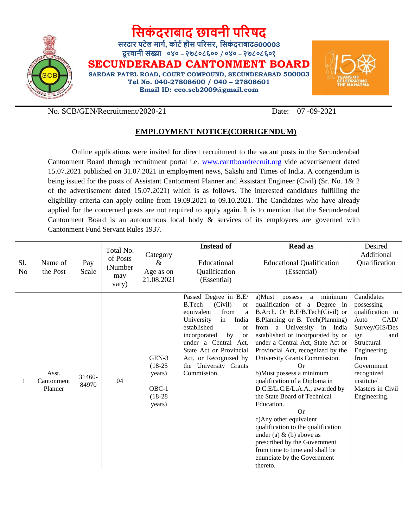

# **सिकं दराबाद छावनी पररषद**

**िरदार पटेल मार्ग, कोटगहौि पररिर, सिकं दराबाद500003 दूरवानी िंख्या ०४० – २७८०८६०० / ०४० – २७८०८६०१**

**SECUNDERABAD CANTONMENT BOARD SARDAR PATEL ROAD, COURT COMPOUND, SECUNDERABAD 500003 Tel No. 040-27808600 / 040 – 27808601**

**Email ID: ceo.scb2009@gmail.com**



No. SCB/GEN/Recruitment/2020-21 Date: 07 -09-2021

## **EMPLOYMENT NOTICE(CORRIGENDUM)**

Online applications were invited for direct recruitment to the vacant posts in the Secunderabad Cantonment Board through recruitment portal i.e. [www.canttboardrecruit.org](http://www.canttboardrecruit.org/) vide advertisement dated 15.07.2021 published on 31.07.2021 in employment news, Sakshi and Times of India. A corrigendum is being issued for the posts of Assistant Cantonment Planner and Assistant Engineer (Civil) (Sr. No. 1& 2 of the advertisement dated 15.07.2021) which is as follows. The interested candidates fulfilling the eligibility criteria can apply online from 19.09.2021 to 09.10.2021. The Candidates who have already applied for the concerned posts are not required to apply again. It is to mention that the Secunderabad Cantonment Board is an autonomous local body & services of its employees are governed with Cantonment Fund Servant Rules 1937.

|                       |                                |                    |                                                  |                                                                  | <b>Instead of</b>                                                                                                                                                                                                                                                                                  | <b>Read as</b>                                                                                                                                                                                                                                                                                                                                                                                                                                                                                                                                                                                                                                                                           | Desired                                                                                                                                                                                                         |
|-----------------------|--------------------------------|--------------------|--------------------------------------------------|------------------------------------------------------------------|----------------------------------------------------------------------------------------------------------------------------------------------------------------------------------------------------------------------------------------------------------------------------------------------------|------------------------------------------------------------------------------------------------------------------------------------------------------------------------------------------------------------------------------------------------------------------------------------------------------------------------------------------------------------------------------------------------------------------------------------------------------------------------------------------------------------------------------------------------------------------------------------------------------------------------------------------------------------------------------------------|-----------------------------------------------------------------------------------------------------------------------------------------------------------------------------------------------------------------|
| S1.<br>N <sub>0</sub> | Name of<br>the Post            | Pay<br>Scale       | Total No.<br>of Posts<br>(Number<br>may<br>vary) | Category<br>&<br>Age as on<br>21.08.2021                         | Educational<br>Qualification<br>(Essential)                                                                                                                                                                                                                                                        | <b>Educational Qualification</b><br>(Essential)                                                                                                                                                                                                                                                                                                                                                                                                                                                                                                                                                                                                                                          | Additional<br>Qualification                                                                                                                                                                                     |
|                       | Asst.<br>Cantonment<br>Planner | $31460 -$<br>84970 | 04                                               | $GEN-3$<br>$(18-25)$<br>years)<br>$OBC-1$<br>$(18-28)$<br>years) | Passed Degree in B.E/<br>B.Tech<br>(Civil)<br><b>or</b><br>equivalent<br>from<br>a<br>University<br>in<br>India<br>established<br><b>or</b><br>incorporated<br>by<br><b>or</b><br>under a Central Act,<br>State Act or Provincial<br>Act, or Recognized by<br>the University Grants<br>Commission. | a minimum<br>a)Must<br>possess<br>qualification of a Degree in<br>B.Arch. Or B.E/B.Tech(Civil) or<br>B.Planning or B. Tech(Planning)<br>from a University in India<br>established or incorporated by or<br>under a Central Act, State Act or<br>Provincial Act, recognized by the<br>University Grants Commission.<br>Or<br>b) Must possess a minimum<br>qualification of a Diploma in<br>D.C.E/L.C.E/L.A.A., awarded by<br>the State Board of Technical<br>Education.<br>Or<br>c) Any other equivalent<br>qualification to the qualification<br>under (a) $&$ (b) above as<br>prescribed by the Government<br>from time to time and shall be<br>enunciate by the Government<br>thereto. | Candidates<br>possessing<br>qualification in<br>CAD/<br>Auto<br>Survey/GIS/Des<br>and<br>ign<br>Structural<br>Engineering<br>from<br>Government<br>recognized<br>institute/<br>Masters in Civil<br>Engineering. |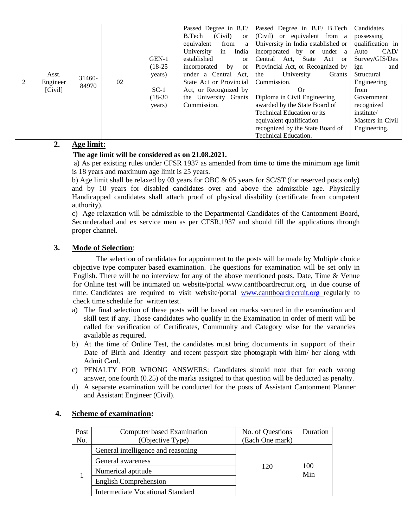| 2 | Asst.<br>$31460-$<br>Engineer<br>84970<br>[Civil] | 02 | $(18-25)$<br>years)<br>$SC-1$<br>$(18-30)$<br>years) | established<br><sub>or</sub><br>by<br>incorporated<br><sub>or</sub><br>under a Central Act,<br>State Act or Provincial<br>Act, or Recognized by<br>the University Grants<br>Commission. | Central Act, State Act or<br>Provincial Act, or Recognized by<br>University<br>the<br>Grants<br>Commission.<br>Or.<br>Diploma in Civil Engineering<br>awarded by the State Board of<br><b>Technical Education or its</b><br>equivalent qualification<br>recognized by the State Board of | Survey/GIS/Des<br>ign<br>and<br>Structural<br>Engineering<br>from<br>Government<br>recognized<br>institute/<br>Masters in Civil<br>Engineering. |
|---|---------------------------------------------------|----|------------------------------------------------------|-----------------------------------------------------------------------------------------------------------------------------------------------------------------------------------------|------------------------------------------------------------------------------------------------------------------------------------------------------------------------------------------------------------------------------------------------------------------------------------------|-------------------------------------------------------------------------------------------------------------------------------------------------|
|   |                                                   |    |                                                      |                                                                                                                                                                                         | Technical Education.                                                                                                                                                                                                                                                                     |                                                                                                                                                 |

## **2. Age limit:**

#### **The age limit will be considered as on 21.08.2021.**

a) As per existing rules under CFSR 1937 as amended from time to time the minimum age limit is 18 years and maximum age limit is 25 years.

b) Age limit shall be relaxed by 03 years for OBC & 05 years for SC/ST (for reserved posts only) and by 10 years for disabled candidates over and above the admissible age. Physically Handicapped candidates shall attach proof of physical disability (certificate from competent authority).

c) Age relaxation will be admissible to the Departmental Candidates of the Cantonment Board, Secunderabad and ex service men as per CFSR,1937 and should fill the applications through proper channel.

#### **3. Mode of Selection**:

The selection of candidates for appointment to the posts will be made by Multiple choice objective type computer based examination. The questions for examination will be set only in English. There will be no interview for any of the above mentioned posts. Date, Time & Venue for Online test will be intimated on website/portal [www.canttboardrecruit.org](http://www.canttboardrecruit.org/) in due course of time. Candidates are required to visit website/portal www.canttboardrecruit.org regularly to check time schedule for written test.

- a) The final selection of these posts will be based on marks secured in the examination and skill test if any. Those candidates who qualify in the Examination in order of merit will be called for verification of Certificates, Community and Category wise for the vacancies available as required.
- b) At the time of Online Test, the candidates must bring documents in support of their Date of Birth and Identity and recent passport size photograph with him/ her along with Admit Card.
- c) PENALTY FOR WRONG ANSWERS: Candidates should note that for each wrong answer, one fourth (0.25) of the marks assigned to that question will be deducted as penalty.
- d) A separate examination will be conducted for the posts of Assistant Cantonment Planner and Assistant Engineer (Civil).

| Post | Computer based Examination              | No. of Questions | Duration |
|------|-----------------------------------------|------------------|----------|
| No.  | (Objective Type)                        | (Each One mark)  |          |
|      | General intelligence and reasoning      |                  |          |
|      | General awareness                       |                  | 100      |
|      | Numerical aptitude                      | 120              | Min      |
|      | English Comprehension                   |                  |          |
|      | <b>Intermediate Vocational Standard</b> |                  |          |

#### **4. Scheme of examination:**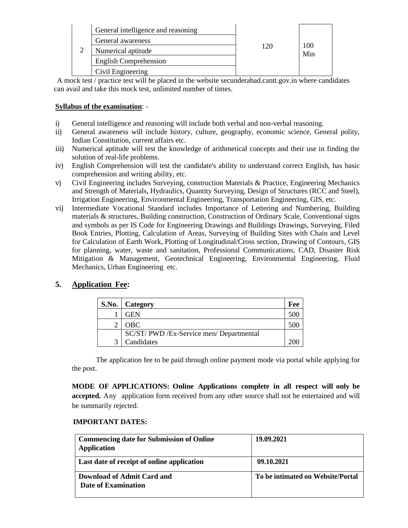|   | General intelligence and reasoning |     | 100<br>Min |
|---|------------------------------------|-----|------------|
| ⌒ | General awareness                  |     |            |
|   | Numerical aptitude                 | 120 |            |
|   | English Comprehension              |     |            |
|   | Civil Engineering                  |     |            |

A mock test / practice test will be placed in the website secunderabad.cantt.gov.in where candidates can avail and take this mock test, unlimited number of times.

#### **Syllabus of the examination**: -

- i) General intelligence and reasoning will include both verbal and non-verbal reasoning.
- ii) General awareness will include history, culture, geography, economic science, General polity, Indian Constitution, current affairs etc.
- iii) Numerical aptitude will test the knowledge of arithmetical concepts and their use in finding the solution of real-life problems.
- iv) English Comprehension will test the candidate's ability to understand correct English, has basic comprehension and writing ability, etc.
- v) Civil Engineering includes Surveying, construction Materials & Practice, Engineering Mechanics and Strength of Materials, Hydraulics, Quantity Surveying, Design of Structures (RCC and Steel), Irrigation Engineering, Environmental Engineering, Transportation Engineering, GIS, etc.
- vi) Intermediate Vocational Standard includes Importance of Lettering and Numbering, Building materials & structures, Building construction, Construction of Ordinary Scale, Conventional signs and symbols as per IS Code for Engineering Drawings and Buildings Drawings, Surveying, Filed Book Entries, Plotting, Calculation of Areas, Surveying of Building Sites with Chain and Level for Calculation of Earth Work, Plotting of Longitudinal/Cross section, Drawing of Contours, GIS for planning, water, waste and sanitation, Professional Communications, CAD, Disaster Risk Mitigation & Management, Geotechnical Engineering, Environmental Engineering, Fluid Mechanics, Urban Engineering etc.

## **5. Application Fee:**

|   | S.No.   Category                         | Fee |
|---|------------------------------------------|-----|
|   | GEN                                      |     |
| ◠ | OBC.                                     |     |
|   | SC/ST/ PWD /Ex-Service men/ Departmental |     |
| 2 | Candidates                               |     |

The application fee to be paid through online payment mode via portal while applying for the post.

**MODE OF APPLICATIONS: Online Applications complete in all respect will only be accepted.** Any application form received from any other source shall not be entertained and will be summarily rejected.

#### **IMPORTANT DATES:**

| <b>Commencing date for Submission of Online</b><br><b>Application</b> | 19.09.2021                        |
|-----------------------------------------------------------------------|-----------------------------------|
| Last date of receipt of online application                            | 09.10.2021                        |
| Download of Admit Card and<br>Date of Examination                     | To be intimated on Website/Portal |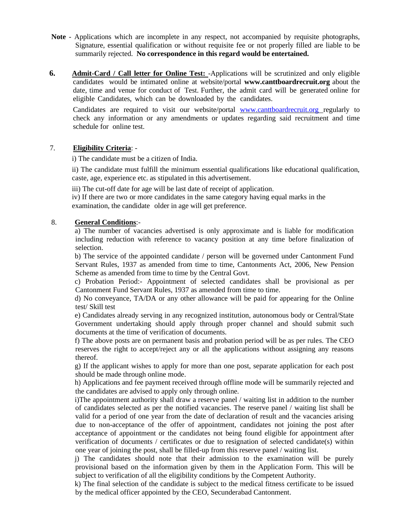- **Note** Applications which are incomplete in any respect, not accompanied by requisite photographs, Signature, essential qualification or without requisite fee or not properly filled are liable to be summarily rejected. **No correspondence in this regard would be entertained.**
- **6. Admit-Card / Call letter for Online Test:** -Applications will be scrutinized and only eligible candidates would be intimated online at website/portal **www.canttboardrecruit.org** about the date, time and venue for conduct of Test. Further, the admit card will be generated online for eligible Candidates, which can be downloaded by the candidates.

Candidates are required to visit our website/portal www.canttboardrecruit.org regularly to check any information or any amendments or updates regarding said recruitment and time schedule for online test.

#### 7. **Eligibility Criteria**: -

i) The candidate must be a citizen of India.

ii) The candidate must fulfill the minimum essential qualifications like educational qualification, caste, age, experience etc. as stipulated in this advertisement.

iii) The cut-off date for age will be last date of receipt of application.

iv) If there are two or more candidates in the same category having equal marks in the examination, the candidate older in age will get preference.

#### 8. **General Conditions**:-

a) The number of vacancies advertised is only approximate and is liable for modification including reduction with reference to vacancy position at any time before finalization of selection.

b) The service of the appointed candidate / person will be governed under Cantonment Fund Servant Rules, 1937 as amended from time to time, Cantonments Act, 2006, New Pension Scheme as amended from time to time by the Central Govt.

c) Probation Period:- Appointment of selected candidates shall be provisional as per Cantonment Fund Servant Rules, 1937 as amended from time to time.

d) No conveyance, TA/DA or any other allowance will be paid for appearing for the Online test/ Skill test

e) Candidates already serving in any recognized institution, autonomous body or Central/State Government undertaking should apply through proper channel and should submit such documents at the time of verification of documents.

f) The above posts are on permanent basis and probation period will be as per rules. The CEO reserves the right to accept/reject any or all the applications without assigning any reasons thereof.

g) If the applicant wishes to apply for more than one post, separate application for each post should be made through online mode.

h) Applications and fee payment received through offline mode will be summarily rejected and the candidates are advised to apply only through online.

i)The appointment authority shall draw a reserve panel / waiting list in addition to the number of candidates selected as per the notified vacancies. The reserve panel / waiting list shall be valid for a period of one year from the date of declaration of result and the vacancies arising due to non-acceptance of the offer of appointment, candidates not joining the post after acceptance of appointment or the candidates not being found eligible for appointment after verification of documents / certificates or due to resignation of selected candidate(s) within one year of joining the post, shall be filled-up from this reserve panel / waiting list.

j) The candidates should note that their admission to the examination will be purely provisional based on the information given by them in the Application Form. This will be subject to verification of all the eligibility conditions by the Competent Authority.

k) The final selection of the candidate is subject to the medical fitness certificate to be issued by the medical officer appointed by the CEO, Secunderabad Cantonment.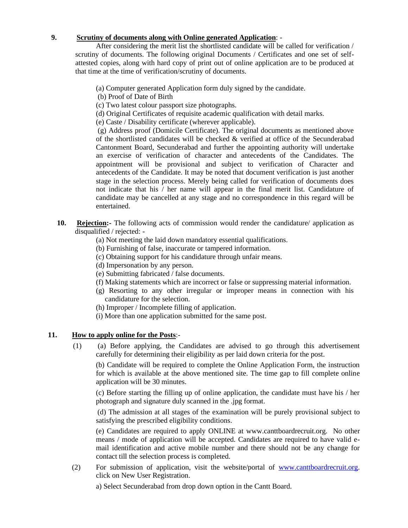#### **9. Scrutiny of documents along with Online generated Application**: -

After considering the merit list the shortlisted candidate will be called for verification / scrutiny of documents. The following original Documents / Certificates and one set of selfattested copies, along with hard copy of print out of online application are to be produced at that time at the time of verification/scrutiny of documents.

(a) Computer generated Application form duly signed by the candidate.

- (b) Proof of Date of Birth
- (c) Two latest colour passport size photographs.
- (d) Original Certificates of requisite academic qualification with detail marks.
- (e) Caste / Disability certificate (wherever applicable).

(g) Address proof (Domicile Certificate). The original documents as mentioned above of the shortlisted candidates will be checked & verified at office of the Secunderabad Cantonment Board, Secunderabad and further the appointing authority will undertake an exercise of verification of character and antecedents of the Candidates. The appointment will be provisional and subject to verification of Character and antecedents of the Candidate. It may be noted that document verification is just another stage in the selection process. Merely being called for verification of documents does not indicate that his / her name will appear in the final merit list. Candidature of candidate may be cancelled at any stage and no correspondence in this regard will be entertained.

- **10. Rejection:-** The following acts of commission would render the candidature/ application as disqualified / rejected: -
	- (a) Not meeting the laid down mandatory essential qualifications.
	- (b) Furnishing of false, inaccurate or tampered information.
	- (c) Obtaining support for his candidature through unfair means.
	- (d) Impersonation by any person.
	- (e) Submitting fabricated / false documents.
	- (f) Making statements which are incorrect or false or suppressing material information.
	- (g) Resorting to any other irregular or improper means in connection with his candidature for the selection.
	- (h) Improper / Incomplete filling of application.
	- (i) More than one application submitted for the same post.

#### **11. How to apply online for the Posts**:-

(1) (a) Before applying, the Candidates are advised to go through this advertisement carefully for determining their eligibility as per laid down criteria for the post.

(b) Candidate will be required to complete the Online Application Form, the instruction for which is available at the above mentioned site. The time gap to fill complete online application will be 30 minutes.

(c) Before starting the filling up of online application, the candidate must have his / her photograph and signature duly scanned in the .jpg format.

(d) The admission at all stages of the examination will be purely provisional subject to satisfying the prescribed eligibility conditions.

(e) Candidates are required to apply ONLINE at www.canttboardrecruit.org. No other means / mode of application will be accepted. Candidates are required to have valid email identification and active mobile number and there should not be any change for contact till the selection process is completed.

(2) For submission of application, visit the website/portal of [www.canttboardrecruit.org.](http://www.canttboardrecruit.org/) click on New User Registration.

a) Select Secunderabad from drop down option in the Cantt Board.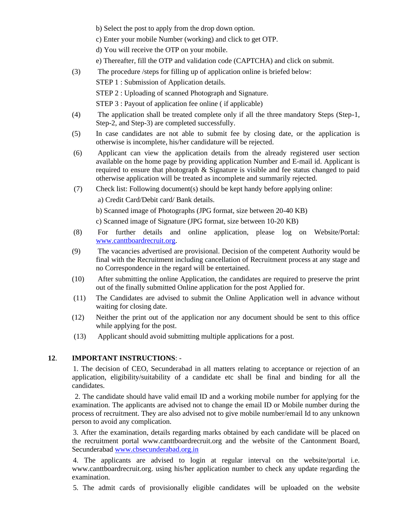b) Select the post to apply from the drop down option.

c) Enter your mobile Number (working) and click to get OTP.

d) You will receive the OTP on your mobile.

- e) Thereafter, fill the OTP and validation code (CAPTCHA) and click on submit.
- (3) The procedure /steps for filling up of application online is briefed below:

STEP 1 : Submission of Application details.

STEP 2 : Uploading of scanned Photograph and Signature.

STEP 3 : Payout of application fee online ( if applicable)

- (4) The application shall be treated complete only if all the three mandatory Steps (Step-1, Step-2, and Step-3) are completed successfully.
- (5) In case candidates are not able to submit fee by closing date, or the application is otherwise is incomplete, his/her candidature will be rejected.
- (6) Applicant can view the application details from the already registered user section available on the home page by providing application Number and E-mail id. Applicant is required to ensure that photograph & Signature is visible and fee status changed to paid otherwise application will be treated as incomplete and summarily rejected.
- (7) Check list: Following document(s) should be kept handy before applying online: a) Credit Card/Debit card/ Bank details.

b) Scanned image of Photographs (JPG format, size between 20-40 KB)

c) Scanned image of Signature (JPG format, size between 10-20 KB)

- (8) For further details and online application, please log on Website/Portal: [www.canttboardrecruit.org.](http://www.canttboardrecruit.org/)
- (9) The vacancies advertised are provisional. Decision of the competent Authority would be final with the Recruitment including cancellation of Recruitment process at any stage and no Correspondence in the regard will be entertained.
- (10) After submitting the online Application, the candidates are required to preserve the print out of the finally submitted Online application for the post Applied for.
- (11) The Candidates are advised to submit the Online Application well in advance without waiting for closing date.
- (12) Neither the print out of the application nor any document should be sent to this office while applying for the post.
- (13) Applicant should avoid submitting multiple applications for a post.

#### **12**. **IMPORTANT INSTRUCTIONS**: -

1. The decision of CEO, Secunderabad in all matters relating to acceptance or rejection of an application, eligibility/suitability of a candidate etc shall be final and binding for all the candidates.

2. The candidate should have valid email ID and a working mobile number for applying for the examination. The applicants are advised not to change the email ID or Mobile number during the process of recruitment. They are also advised not to give mobile number/email Id to any unknown person to avoid any complication.

3. After the examination, details regarding marks obtained by each candidate will be placed on the recruitment portal www.canttboardrecruit.org and the website of the Cantonment Board, Secunderabad [www.cbsecunderabad.org.in](http://www.cbsecunderabad.org.in/)

4. The applicants are advised to login at regular interval on the website/portal i.e. www.canttboardrecruit.org. using his/her application number to check any update regarding the examination.

5. The admit cards of provisionally eligible candidates will be uploaded on the website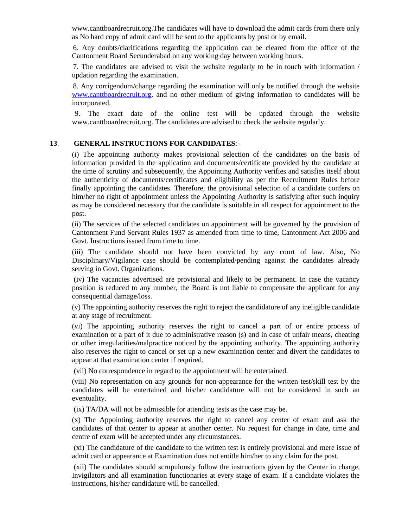www.canttboardrecruit.org.The candidates will have to download the admit cards from there only as No hard copy of admit card will be sent to the applicants by post or by email.

6. Any doubts/clarifications regarding the application can be cleared from the office of the Cantonment Board Secunderabad on any working day between working hours.

7. The candidates are advised to visit the website regularly to be in touch with information / updation regarding the examination.

8. Any corrigendum/change regarding the examination will only be notified through the website [www.canttboardrecruit.org.](http://www.canttboardrecruit.org/) and no other medium of giving information to candidates will be incorporated.

9. The exact date of the online test will be updated through the website www.canttboardrecruit.org. The candidates are advised to check the website regularly.

#### **13**. **GENERAL INSTRUCTIONS FOR CANDIDATES**:-

(i) The appointing authority makes provisional selection of the candidates on the basis of information provided in the application and documents/certificate provided by the candidate at the time of scrutiny and subsequently, the Appointing Authority verifies and satisfies itself about the authenticity of documents/certificates and eligibility as per the Recruitment Rules before finally appointing the candidates. Therefore, the provisional selection of a candidate confers on him/her no right of appointment unless the Appointing Authority is satisfying after such inquiry as may be considered necessary that the candidate is suitable in all respect for appointment to the post.

(ii) The services of the selected candidates on appointment will be governed by the provision of Cantonment Fund Servant Rules 1937 as amended from time to time, Cantonment Act 2006 and Govt. Instructions issued from time to time.

(iii) The candidate should not have been convicted by any court of law. Also, No Disciplinary/Vigilance case should be contemplated/pending against the candidates already serving in Govt. Organizations.

(iv) The vacancies advertised are provisional and likely to be permanent. In case the vacancy position is reduced to any number, the Board is not liable to compensate the applicant for any consequential damage/loss.

(v) The appointing authority reserves the right to reject the candidature of any ineligible candidate at any stage of recruitment.

(vi) The appointing authority reserves the right to cancel a part of or entire process of examination or a part of it due to administrative reason (s) and in case of unfair means, cheating or other irregularities/malpractice noticed by the appointing authority. The appointing authority also reserves the right to cancel or set up a new examination center and divert the candidates to appear at that examination center if required.

(vii) No correspondence in regard to the appointment will be entertained.

(viii) No representation on any grounds for non-appearance for the written test/skill test by the candidates will be entertained and his/her candidature will not be considered in such an eventuality.

(ix) TA/DA will not be admissible for attending tests as the case may be.

(x) The Appointing authority reserves the right to cancel any center of exam and ask the candidates of that center to appear at another center. No request for change in date, time and centre of exam will be accepted under any circumstances.

(xi) The candidature of the candidate to the written test is entirely provisional and mere issue of admit card or appearance at Examination does not entitle him/her to any claim for the post.

(xii) The candidates should scrupulously follow the instructions given by the Center in charge, Invigilators and all examination functionaries at every stage of exam. If a candidate violates the instructions, his/her candidature will be cancelled.